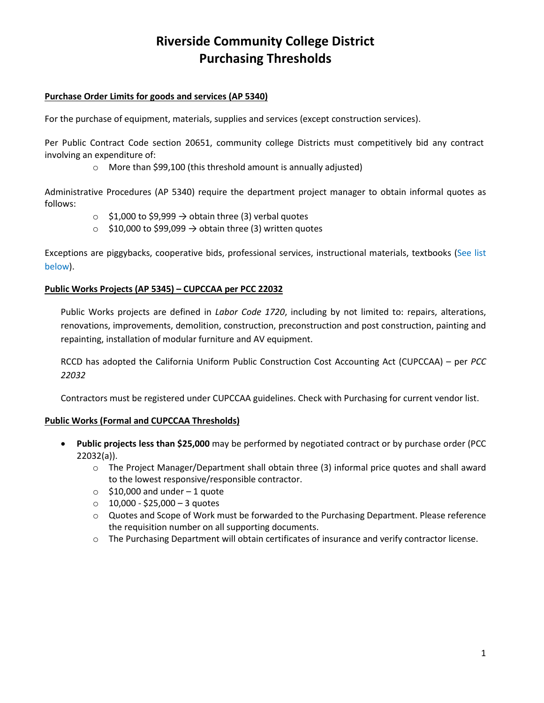# **Riverside Community College District Purchasing Thresholds**

### **Purchase Order Limits for goods and services (AP 5340)**

For the purchase of equipment, materials, supplies and services (except construction services).

Per Public Contract Code section 20651, community college Districts must competitively bid any contract involving an expenditure of:

o More than \$99,100 (this threshold amount is annually adjusted)

Administrative Procedures (AP 5340) require the department project manager to obtain informal quotes as follows:

- $\circ$  \$1,000 to \$9,999  $\rightarrow$  obtain three (3) verbal quotes
- $\circ$  \$10,000 to \$99,099  $\rightarrow$  obtain three (3) written quotes

Exceptions are piggybacks, cooperative bids, professional services, instructional materials, textbooks (See list below).

### **Public Works Projects (AP 5345) – CUPCCAA per PCC 22032**

Public Works projects are defined in *Labor Code 1720*, including by not limited to: repairs, alterations, renovations, improvements, demolition, construction, preconstruction and post construction, painting and repainting, installation of modular furniture and AV equipment.

RCCD has adopted the California Uniform Public Construction Cost Accounting Act (CUPCCAA) – per *PCC 22032*

Contractors must be registered under CUPCCAA guidelines. Check with Purchasing for current vendor list.

#### **Public Works (Formal and CUPCCAA Thresholds)**

- **Public projects less than \$25,000** may be performed by negotiated contract or by purchase order (PCC 22032(a)).
	- o The Project Manager/Department shall obtain three (3) informal price quotes and shall award to the lowest responsive/responsible contractor.
	- $\circ$  \$10,000 and under -1 quote
	- $\circ$  10,000 \$25,000 3 quotes
	- o Quotes and Scope of Work must be forwarded to the Purchasing Department. Please reference the requisition number on all supporting documents.
	- o The Purchasing Department will obtain certificates of insurance and verify contractor license.